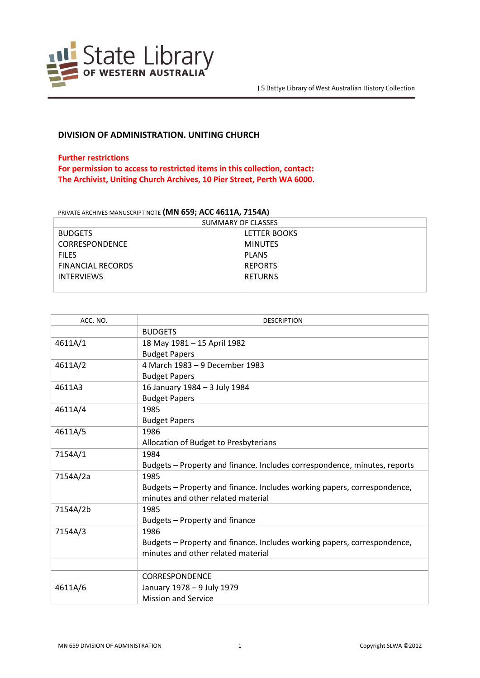

## **DIVISION OF ADMINISTRATION. UNITING CHURCH**

## **Further restrictions**

**For permission to access to restricted items in this collection, contact: The Archivist, Uniting Church Archives, 10 Pier Street, Perth WA 6000.**

## PRIVATE ARCHIVES MANUSCRIPT NOTE **(MN 659; ACC 4611A, 7154A)**

| SUMMARY OF CLASSES       |                |  |
|--------------------------|----------------|--|
| <b>BUDGETS</b>           | LETTER BOOKS   |  |
| <b>CORRESPONDENCE</b>    | <b>MINUTES</b> |  |
| <b>FILES</b>             | <b>PLANS</b>   |  |
| <b>FINANCIAL RECORDS</b> | <b>REPORTS</b> |  |
| <b>INTERVIEWS</b>        | <b>RETURNS</b> |  |
|                          |                |  |

| ACC. NO. | <b>DESCRIPTION</b>                                                        |
|----------|---------------------------------------------------------------------------|
|          | <b>BUDGETS</b>                                                            |
| 4611A/1  | 18 May 1981 - 15 April 1982                                               |
|          | <b>Budget Papers</b>                                                      |
| 4611A/2  | 4 March 1983 - 9 December 1983                                            |
|          | <b>Budget Papers</b>                                                      |
| 4611A3   | 16 January 1984 - 3 July 1984                                             |
|          | <b>Budget Papers</b>                                                      |
| 4611A/4  | 1985                                                                      |
|          | <b>Budget Papers</b>                                                      |
| 4611A/5  | 1986                                                                      |
|          | Allocation of Budget to Presbyterians                                     |
| 7154A/1  | 1984                                                                      |
|          | Budgets - Property and finance. Includes correspondence, minutes, reports |
| 7154A/2a | 1985                                                                      |
|          | Budgets - Property and finance. Includes working papers, correspondence,  |
|          | minutes and other related material                                        |
| 7154A/2b | 1985                                                                      |
|          | Budgets - Property and finance                                            |
| 7154A/3  | 1986                                                                      |
|          | Budgets - Property and finance. Includes working papers, correspondence,  |
|          | minutes and other related material                                        |
|          |                                                                           |
|          | <b>CORRESPONDENCE</b>                                                     |
| 4611A/6  | January 1978 - 9 July 1979                                                |
|          | <b>Mission and Service</b>                                                |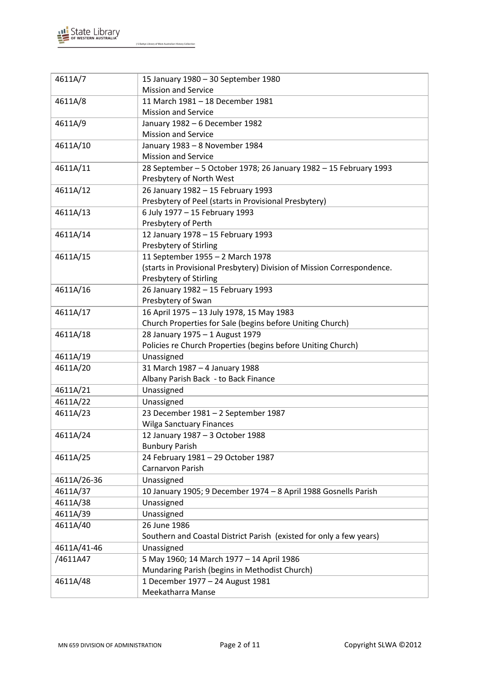

| 4611A/7     | 15 January 1980 - 30 September 1980                                                                        |
|-------------|------------------------------------------------------------------------------------------------------------|
|             | <b>Mission and Service</b>                                                                                 |
| 4611A/8     | 11 March 1981 - 18 December 1981                                                                           |
|             | <b>Mission and Service</b>                                                                                 |
| 4611A/9     | January 1982 - 6 December 1982                                                                             |
|             | <b>Mission and Service</b>                                                                                 |
| 4611A/10    | January 1983 - 8 November 1984                                                                             |
|             | <b>Mission and Service</b>                                                                                 |
| 4611A/11    | 28 September - 5 October 1978; 26 January 1982 - 15 February 1993                                          |
|             | Presbytery of North West                                                                                   |
| 4611A/12    | 26 January 1982 - 15 February 1993                                                                         |
|             | Presbytery of Peel (starts in Provisional Presbytery)                                                      |
| 4611A/13    | 6 July 1977 - 15 February 1993                                                                             |
|             | Presbytery of Perth                                                                                        |
| 4611A/14    | 12 January 1978 - 15 February 1993                                                                         |
|             | Presbytery of Stirling                                                                                     |
| 4611A/15    | 11 September 1955 - 2 March 1978<br>(starts in Provisional Presbytery) Division of Mission Correspondence. |
|             | Presbytery of Stirling                                                                                     |
| 4611A/16    | 26 January 1982 - 15 February 1993                                                                         |
|             | Presbytery of Swan                                                                                         |
| 4611A/17    | 16 April 1975 - 13 July 1978, 15 May 1983                                                                  |
|             | Church Properties for Sale (begins before Uniting Church)                                                  |
| 4611A/18    | 28 January 1975 - 1 August 1979                                                                            |
|             | Policies re Church Properties (begins before Uniting Church)                                               |
| 4611A/19    | Unassigned                                                                                                 |
| 4611A/20    | 31 March 1987 - 4 January 1988                                                                             |
|             | Albany Parish Back - to Back Finance                                                                       |
| 4611A/21    | Unassigned                                                                                                 |
| 4611A/22    | Unassigned                                                                                                 |
| 4611A/23    | 23 December 1981 - 2 September 1987                                                                        |
|             | <b>Wilga Sanctuary Finances</b>                                                                            |
| 4611A/24    | 12 January 1987 - 3 October 1988                                                                           |
|             | <b>Bunbury Parish</b>                                                                                      |
| 4611A/25    | 24 February 1981 - 29 October 1987                                                                         |
|             | Carnarvon Parish                                                                                           |
| 4611A/26-36 | Unassigned                                                                                                 |
| 4611A/37    | 10 January 1905; 9 December 1974 - 8 April 1988 Gosnells Parish                                            |
| 4611A/38    | Unassigned                                                                                                 |
| 4611A/39    | Unassigned                                                                                                 |
| 4611A/40    | 26 June 1986                                                                                               |
|             | Southern and Coastal District Parish (existed for only a few years)                                        |
| 4611A/41-46 | Unassigned                                                                                                 |
| /4611A47    | 5 May 1960; 14 March 1977 - 14 April 1986                                                                  |
|             | Mundaring Parish (begins in Methodist Church)                                                              |
| 4611A/48    | 1 December 1977 - 24 August 1981                                                                           |
|             | Meekatharra Manse                                                                                          |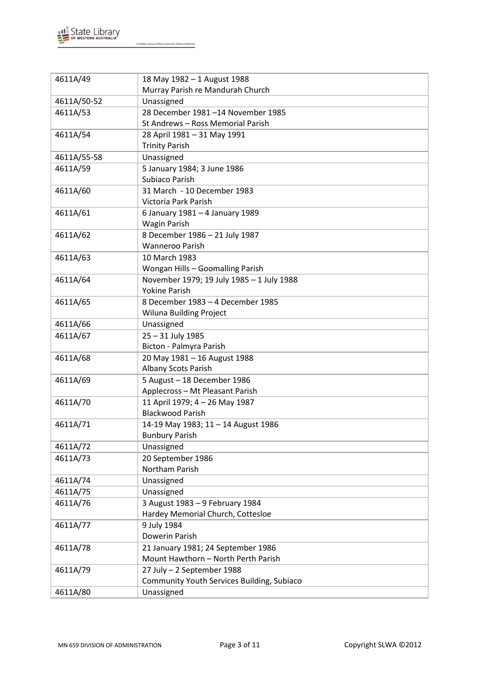

| 4611A/49    | 18 May 1982 - 1 August 1988<br>Murray Parish re Mandurah Church |
|-------------|-----------------------------------------------------------------|
| 4611A/50-52 | Unassigned                                                      |
| 4611A/53    | 28 December 1981-14 November 1985                               |
|             | St Andrews - Ross Memorial Parish                               |
| 4611A/54    | 28 April 1981 - 31 May 1991                                     |
|             | <b>Trinity Parish</b>                                           |
| 4611A/55-58 | Unassigned                                                      |
| 4611A/59    | 5 January 1984; 3 June 1986                                     |
|             | Subiaco Parish                                                  |
| 4611A/60    | 31 March - 10 December 1983                                     |
|             | Victoria Park Parish                                            |
| 4611A/61    | 6 January 1981 - 4 January 1989                                 |
|             | <b>Wagin Parish</b>                                             |
| 4611A/62    | 8 December 1986 - 21 July 1987                                  |
|             | <b>Wanneroo Parish</b>                                          |
| 4611A/63    | 10 March 1983                                                   |
|             | Wongan Hills - Goomalling Parish                                |
| 4611A/64    | November 1979; 19 July 1985 - 1 July 1988                       |
|             | <b>Yokine Parish</b>                                            |
| 4611A/65    | 8 December 1983 - 4 December 1985                               |
|             | Wiluna Building Project                                         |
| 4611A/66    | Unassigned                                                      |
| 4611A/67    | 25 - 31 July 1985<br>Bicton - Palmyra Parish                    |
| 4611A/68    | 20 May 1981 - 16 August 1988                                    |
|             | <b>Albany Scots Parish</b>                                      |
| 4611A/69    | 5 August - 18 December 1986                                     |
|             | Applecross - Mt Pleasant Parish                                 |
| 4611A/70    | 11 April 1979; 4 - 26 May 1987                                  |
|             | <b>Blackwood Parish</b>                                         |
| 4611A/71    | 14-19 May 1983; 11 - 14 August 1986                             |
|             | <b>Bunbury Parish</b>                                           |
| 4611A/72    | Unassigned                                                      |
| 4611A/73    | 20 September 1986                                               |
|             | Northam Parish                                                  |
| 4611A/74    | Unassigned                                                      |
| 4611A/75    | Unassigned                                                      |
| 4611A/76    | 3 August 1983 - 9 February 1984                                 |
|             | Hardey Memorial Church, Cottesloe                               |
| 4611A/77    | 9 July 1984                                                     |
|             | Dowerin Parish                                                  |
| 4611A/78    | 21 January 1981; 24 September 1986                              |
|             | Mount Hawthorn - North Perth Parish                             |
| 4611A/79    | 27 July - 2 September 1988                                      |
| 4611A/80    | Community Youth Services Building, Subiaco<br>Unassigned        |
|             |                                                                 |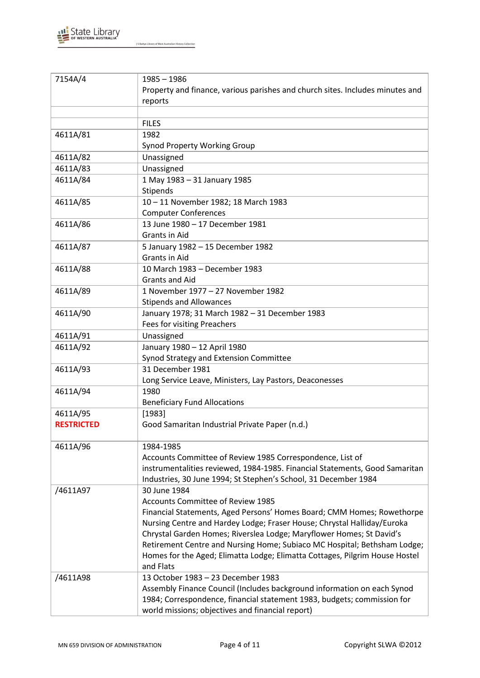

| 7154A/4           | $1985 - 1986$                                                                   |
|-------------------|---------------------------------------------------------------------------------|
|                   | Property and finance, various parishes and church sites. Includes minutes and   |
|                   | reports                                                                         |
|                   |                                                                                 |
|                   | <b>FILES</b>                                                                    |
| 4611A/81          | 1982                                                                            |
|                   | <b>Synod Property Working Group</b>                                             |
| 4611A/82          | Unassigned                                                                      |
| 4611A/83          | Unassigned                                                                      |
| 4611A/84          | 1 May 1983 - 31 January 1985                                                    |
|                   | Stipends                                                                        |
| 4611A/85          | 10-11 November 1982; 18 March 1983                                              |
|                   | <b>Computer Conferences</b>                                                     |
| 4611A/86          | 13 June 1980 - 17 December 1981                                                 |
|                   | <b>Grants in Aid</b>                                                            |
| 4611A/87          | 5 January 1982 - 15 December 1982                                               |
|                   | <b>Grants in Aid</b>                                                            |
| 4611A/88          | 10 March 1983 - December 1983                                                   |
|                   | <b>Grants and Aid</b>                                                           |
| 4611A/89          | 1 November 1977 - 27 November 1982                                              |
|                   | <b>Stipends and Allowances</b>                                                  |
| 4611A/90          | January 1978; 31 March 1982 - 31 December 1983                                  |
|                   | Fees for visiting Preachers                                                     |
| 4611A/91          | Unassigned                                                                      |
| 4611A/92          | January 1980 - 12 April 1980                                                    |
|                   | Synod Strategy and Extension Committee                                          |
| 4611A/93          | 31 December 1981                                                                |
|                   | Long Service Leave, Ministers, Lay Pastors, Deaconesses                         |
| 4611A/94          | 1980                                                                            |
|                   | <b>Beneficiary Fund Allocations</b>                                             |
| 4611A/95          | [1983]                                                                          |
| <b>RESTRICTED</b> | Good Samaritan Industrial Private Paper (n.d.)                                  |
|                   |                                                                                 |
| 4611A/96          | 1984-1985                                                                       |
|                   | Accounts Committee of Review 1985 Correspondence, List of                       |
|                   | instrumentalities reviewed, 1984-1985. Financial Statements, Good Samaritan     |
|                   | Industries, 30 June 1994; St Stephen's School, 31 December 1984<br>30 June 1984 |
| /4611A97          | Accounts Committee of Review 1985                                               |
|                   | Financial Statements, Aged Persons' Homes Board; CMM Homes; Rowethorpe          |
|                   | Nursing Centre and Hardey Lodge; Fraser House; Chrystal Halliday/Euroka         |
|                   | Chrystal Garden Homes; Riverslea Lodge; Maryflower Homes; St David's            |
|                   | Retirement Centre and Nursing Home; Subiaco MC Hospital; Bethsham Lodge;        |
|                   | Homes for the Aged; Elimatta Lodge; Elimatta Cottages, Pilgrim House Hostel     |
|                   | and Flats                                                                       |
| /4611A98          | 13 October 1983 - 23 December 1983                                              |
|                   | Assembly Finance Council (Includes background information on each Synod         |
|                   | 1984; Correspondence, financial statement 1983, budgets; commission for         |
|                   | world missions; objectives and financial report)                                |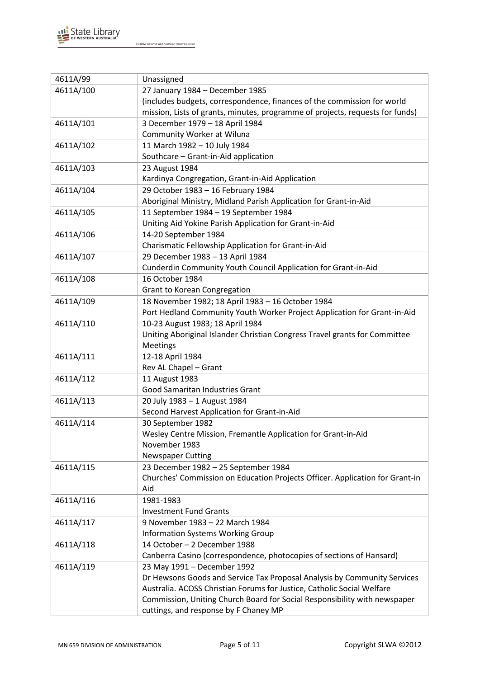

| 4611A/99  | Unassigned                                                                    |
|-----------|-------------------------------------------------------------------------------|
| 4611A/100 | 27 January 1984 - December 1985                                               |
|           | (includes budgets, correspondence, finances of the commission for world       |
|           | mission, Lists of grants, minutes, programme of projects, requests for funds) |
| 4611A/101 | 3 December 1979 - 18 April 1984                                               |
|           | Community Worker at Wiluna                                                    |
| 4611A/102 | 11 March 1982 - 10 July 1984                                                  |
|           | Southcare - Grant-in-Aid application                                          |
| 4611A/103 | 23 August 1984                                                                |
|           | Kardinya Congregation, Grant-in-Aid Application                               |
| 4611A/104 | 29 October 1983 - 16 February 1984                                            |
|           | Aboriginal Ministry, Midland Parish Application for Grant-in-Aid              |
| 4611A/105 | 11 September 1984 - 19 September 1984                                         |
|           | Uniting Aid Yokine Parish Application for Grant-in-Aid                        |
| 4611A/106 | 14-20 September 1984                                                          |
|           | Charismatic Fellowship Application for Grant-in-Aid                           |
| 4611A/107 | 29 December 1983 - 13 April 1984                                              |
|           | Cunderdin Community Youth Council Application for Grant-in-Aid                |
| 4611A/108 | 16 October 1984                                                               |
|           | Grant to Korean Congregation                                                  |
| 4611A/109 | 18 November 1982; 18 April 1983 - 16 October 1984                             |
|           | Port Hedland Community Youth Worker Project Application for Grant-in-Aid      |
| 4611A/110 | 10-23 August 1983; 18 April 1984                                              |
|           | Uniting Aboriginal Islander Christian Congress Travel grants for Committee    |
|           | Meetings                                                                      |
| 4611A/111 | 12-18 April 1984                                                              |
|           | Rev AL Chapel - Grant                                                         |
| 4611A/112 | 11 August 1983                                                                |
|           | Good Samaritan Industries Grant                                               |
| 4611A/113 | 20 July 1983 - 1 August 1984                                                  |
|           | Second Harvest Application for Grant-in-Aid                                   |
| 4611A/114 | 30 September 1982                                                             |
|           | Wesley Centre Mission, Fremantle Application for Grant-in-Aid                 |
|           | November 1983                                                                 |
|           | <b>Newspaper Cutting</b>                                                      |
| 4611A/115 | 23 December 1982 - 25 September 1984                                          |
|           | Churches' Commission on Education Projects Officer. Application for Grant-in  |
|           | Aid                                                                           |
| 4611A/116 | 1981-1983                                                                     |
|           | <b>Investment Fund Grants</b>                                                 |
| 4611A/117 | 9 November 1983 - 22 March 1984                                               |
|           | <b>Information Systems Working Group</b>                                      |
| 4611A/118 | 14 October - 2 December 1988                                                  |
|           | Canberra Casino (correspondence, photocopies of sections of Hansard)          |
| 4611A/119 | 23 May 1991 - December 1992                                                   |
|           | Dr Hewsons Goods and Service Tax Proposal Analysis by Community Services      |
|           | Australia. ACOSS Christian Forums for Justice, Catholic Social Welfare        |
|           | Commission, Uniting Church Board for Social Responsibility with newspaper     |
|           | cuttings, and response by F Chaney MP                                         |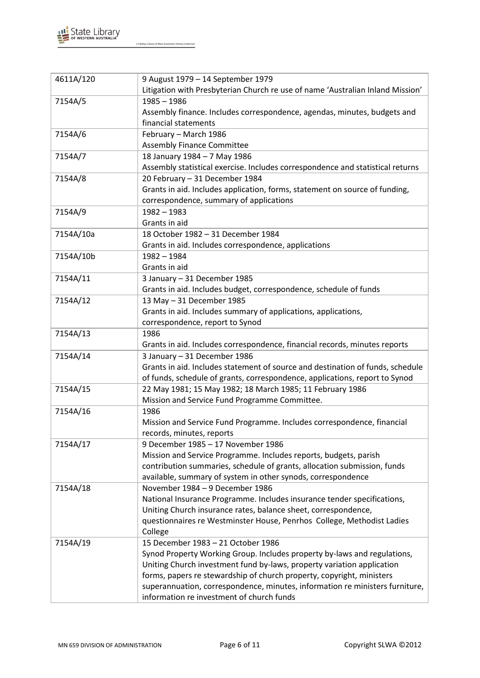

| 4611A/120 | 9 August 1979 - 14 September 1979<br>Litigation with Presbyterian Church re use of name 'Australian Inland Mission' |
|-----------|---------------------------------------------------------------------------------------------------------------------|
| 7154A/5   | $1985 - 1986$                                                                                                       |
|           | Assembly finance. Includes correspondence, agendas, minutes, budgets and                                            |
|           | financial statements                                                                                                |
| 7154A/6   | February - March 1986                                                                                               |
|           | <b>Assembly Finance Committee</b>                                                                                   |
| 7154A/7   | 18 January 1984 - 7 May 1986                                                                                        |
|           | Assembly statistical exercise. Includes correspondence and statistical returns                                      |
| 7154A/8   | 20 February - 31 December 1984                                                                                      |
|           | Grants in aid. Includes application, forms, statement on source of funding,                                         |
|           | correspondence, summary of applications                                                                             |
| 7154A/9   | $1982 - 1983$                                                                                                       |
|           | Grants in aid                                                                                                       |
| 7154A/10a | 18 October 1982 - 31 December 1984                                                                                  |
|           | Grants in aid. Includes correspondence, applications                                                                |
| 7154A/10b | $1982 - 1984$                                                                                                       |
|           | Grants in aid                                                                                                       |
| 7154A/11  | 3 January - 31 December 1985                                                                                        |
|           | Grants in aid. Includes budget, correspondence, schedule of funds                                                   |
| 7154A/12  | 13 May - 31 December 1985                                                                                           |
|           | Grants in aid. Includes summary of applications, applications,                                                      |
|           | correspondence, report to Synod                                                                                     |
| 7154A/13  | 1986                                                                                                                |
|           | Grants in aid. Includes correspondence, financial records, minutes reports                                          |
| 7154A/14  | 3 January - 31 December 1986                                                                                        |
|           | Grants in aid. Includes statement of source and destination of funds, schedule                                      |
|           | of funds, schedule of grants, correspondence, applications, report to Synod                                         |
| 7154A/15  | 22 May 1981; 15 May 1982; 18 March 1985; 11 February 1986                                                           |
|           | Mission and Service Fund Programme Committee.                                                                       |
| 7154A/16  | 1986                                                                                                                |
|           | Mission and Service Fund Programme. Includes correspondence, financial                                              |
|           | records, minutes, reports                                                                                           |
| 7154A/17  | 9 December 1985 - 17 November 1986                                                                                  |
|           | Mission and Service Programme. Includes reports, budgets, parish                                                    |
|           | contribution summaries, schedule of grants, allocation submission, funds                                            |
|           | available, summary of system in other synods, correspondence                                                        |
| 7154A/18  | November 1984 - 9 December 1986                                                                                     |
|           | National Insurance Programme. Includes insurance tender specifications,                                             |
|           | Uniting Church insurance rates, balance sheet, correspondence,                                                      |
|           | questionnaires re Westminster House, Penrhos College, Methodist Ladies                                              |
|           | College                                                                                                             |
| 7154A/19  | 15 December 1983 - 21 October 1986                                                                                  |
|           | Synod Property Working Group. Includes property by-laws and regulations,                                            |
|           | Uniting Church investment fund by-laws, property variation application                                              |
|           | forms, papers re stewardship of church property, copyright, ministers                                               |
|           | superannuation, correspondence, minutes, information re ministers furniture,                                        |
|           | information re investment of church funds                                                                           |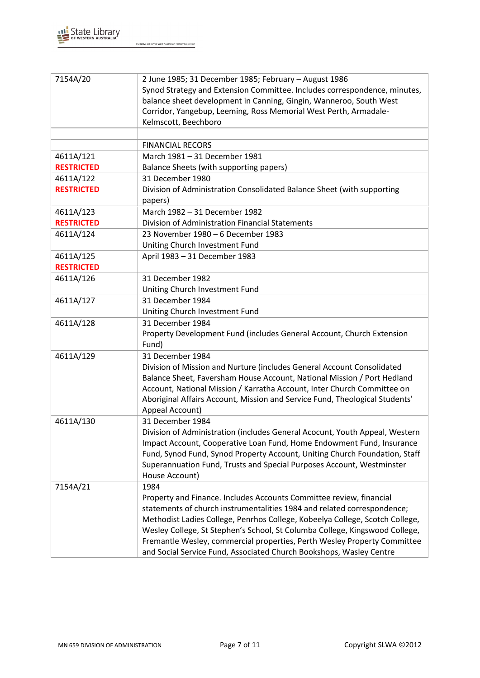

| 7154A/20          | 2 June 1985; 31 December 1985; February - August 1986<br>Synod Strategy and Extension Committee. Includes correspondence, minutes,<br>balance sheet development in Canning, Gingin, Wanneroo, South West<br>Corridor, Yangebup, Leeming, Ross Memorial West Perth, Armadale-<br>Kelmscott, Beechboro<br><b>FINANCIAL RECORS</b> |
|-------------------|---------------------------------------------------------------------------------------------------------------------------------------------------------------------------------------------------------------------------------------------------------------------------------------------------------------------------------|
| 4611A/121         | March 1981 - 31 December 1981                                                                                                                                                                                                                                                                                                   |
| <b>RESTRICTED</b> | Balance Sheets (with supporting papers)                                                                                                                                                                                                                                                                                         |
| 4611A/122         | 31 December 1980                                                                                                                                                                                                                                                                                                                |
| <b>RESTRICTED</b> | Division of Administration Consolidated Balance Sheet (with supporting                                                                                                                                                                                                                                                          |
|                   | papers)                                                                                                                                                                                                                                                                                                                         |
| 4611A/123         | March 1982 - 31 December 1982                                                                                                                                                                                                                                                                                                   |
| <b>RESTRICTED</b> | Division of Administration Financial Statements                                                                                                                                                                                                                                                                                 |
| 4611A/124         | 23 November 1980 - 6 December 1983                                                                                                                                                                                                                                                                                              |
|                   | Uniting Church Investment Fund                                                                                                                                                                                                                                                                                                  |
| 4611A/125         | April 1983 - 31 December 1983                                                                                                                                                                                                                                                                                                   |
| <b>RESTRICTED</b> |                                                                                                                                                                                                                                                                                                                                 |
| 4611A/126         | 31 December 1982                                                                                                                                                                                                                                                                                                                |
|                   | Uniting Church Investment Fund                                                                                                                                                                                                                                                                                                  |
| 4611A/127         | 31 December 1984                                                                                                                                                                                                                                                                                                                |
|                   | Uniting Church Investment Fund                                                                                                                                                                                                                                                                                                  |
| 4611A/128         | 31 December 1984                                                                                                                                                                                                                                                                                                                |
|                   | Property Development Fund (includes General Account, Church Extension                                                                                                                                                                                                                                                           |
|                   | Fund)                                                                                                                                                                                                                                                                                                                           |
| 4611A/129         | 31 December 1984                                                                                                                                                                                                                                                                                                                |
|                   | Division of Mission and Nurture (includes General Account Consolidated                                                                                                                                                                                                                                                          |
|                   | Balance Sheet, Faversham House Account, National Mission / Port Hedland<br>Account, National Mission / Karratha Account, Inter Church Committee on                                                                                                                                                                              |
|                   | Aboriginal Affairs Account, Mission and Service Fund, Theological Students'<br>Appeal Account)                                                                                                                                                                                                                                  |
| 4611A/130         | 31 December 1984                                                                                                                                                                                                                                                                                                                |
|                   | Division of Administration (includes General Acocunt, Youth Appeal, Western                                                                                                                                                                                                                                                     |
|                   | Impact Account, Cooperative Loan Fund, Home Endowment Fund, Insurance                                                                                                                                                                                                                                                           |
|                   | Fund, Synod Fund, Synod Property Account, Uniting Church Foundation, Staff                                                                                                                                                                                                                                                      |
|                   | Superannuation Fund, Trusts and Special Purposes Account, Westminster                                                                                                                                                                                                                                                           |
|                   | House Account)                                                                                                                                                                                                                                                                                                                  |
| 7154A/21          | 1984                                                                                                                                                                                                                                                                                                                            |
|                   | Property and Finance. Includes Accounts Committee review, financial                                                                                                                                                                                                                                                             |
|                   | statements of church instrumentalities 1984 and related correspondence;                                                                                                                                                                                                                                                         |
|                   | Methodist Ladies College, Penrhos College, Kobeelya College, Scotch College,                                                                                                                                                                                                                                                    |
|                   | Wesley College, St Stephen's School, St Columba College, Kingswood College,                                                                                                                                                                                                                                                     |
|                   | Fremantle Wesley, commercial properties, Perth Wesley Property Committee                                                                                                                                                                                                                                                        |
|                   | and Social Service Fund, Associated Church Bookshops, Wasley Centre                                                                                                                                                                                                                                                             |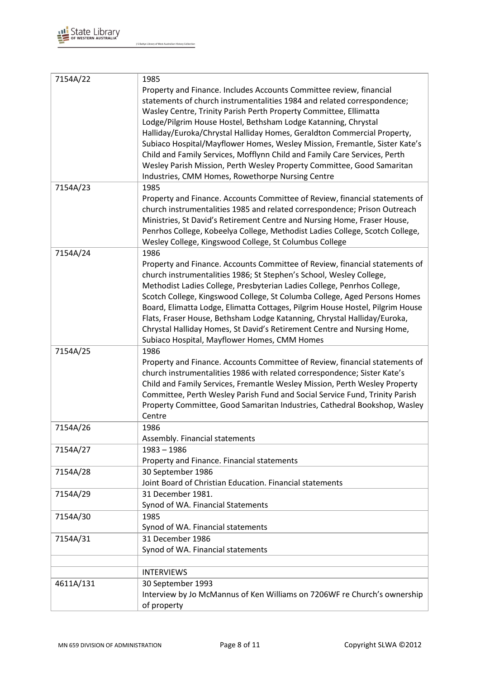

| 7154A/22  | 1985                                                                          |
|-----------|-------------------------------------------------------------------------------|
|           | Property and Finance. Includes Accounts Committee review, financial           |
|           | statements of church instrumentalities 1984 and related correspondence;       |
|           | Wasley Centre, Trinity Parish Perth Property Committee, Ellimatta             |
|           |                                                                               |
|           | Lodge/Pilgrim House Hostel, Bethsham Lodge Katanning, Chrystal                |
|           | Halliday/Euroka/Chrystal Halliday Homes, Geraldton Commercial Property,       |
|           | Subiaco Hospital/Mayflower Homes, Wesley Mission, Fremantle, Sister Kate's    |
|           | Child and Family Services, Mofflynn Child and Family Care Services, Perth     |
|           | Wesley Parish Mission, Perth Wesley Property Committee, Good Samaritan        |
|           | Industries, CMM Homes, Rowethorpe Nursing Centre                              |
| 7154A/23  | 1985                                                                          |
|           | Property and Finance. Accounts Committee of Review, financial statements of   |
|           | church instrumentalities 1985 and related correspondence; Prison Outreach     |
|           | Ministries, St David's Retirement Centre and Nursing Home, Fraser House,      |
|           | Penrhos College, Kobeelya College, Methodist Ladies College, Scotch College,  |
|           | Wesley College, Kingswood College, St Columbus College                        |
| 7154A/24  | 1986                                                                          |
|           | Property and Finance. Accounts Committee of Review, financial statements of   |
|           | church instrumentalities 1986; St Stephen's School, Wesley College,           |
|           | Methodist Ladies College, Presbyterian Ladies College, Penrhos College,       |
|           | Scotch College, Kingswood College, St Columba College, Aged Persons Homes     |
|           | Board, Elimatta Lodge, Elimatta Cottages, Pilgrim House Hostel, Pilgrim House |
|           | Flats, Fraser House, Bethsham Lodge Katanning, Chrystal Halliday/Euroka,      |
|           | Chrystal Halliday Homes, St David's Retirement Centre and Nursing Home,       |
|           | Subiaco Hospital, Mayflower Homes, CMM Homes                                  |
| 7154A/25  | 1986                                                                          |
|           | Property and Finance. Accounts Committee of Review, financial statements of   |
|           | church instrumentalities 1986 with related correspondence; Sister Kate's      |
|           | Child and Family Services, Fremantle Wesley Mission, Perth Wesley Property    |
|           | Committee, Perth Wesley Parish Fund and Social Service Fund, Trinity Parish   |
|           | Property Committee, Good Samaritan Industries, Cathedral Bookshop, Wasley     |
|           | Centre                                                                        |
| 7154A/26  | 1986                                                                          |
|           | Assembly. Financial statements                                                |
| 7154A/27  | $1983 - 1986$                                                                 |
|           | Property and Finance. Financial statements                                    |
| 7154A/28  | 30 September 1986                                                             |
|           | Joint Board of Christian Education. Financial statements                      |
| 7154A/29  | 31 December 1981.                                                             |
|           | Synod of WA. Financial Statements                                             |
| 7154A/30  | 1985                                                                          |
|           | Synod of WA. Financial statements                                             |
| 7154A/31  | 31 December 1986                                                              |
|           | Synod of WA. Financial statements                                             |
|           |                                                                               |
|           | <b>INTERVIEWS</b>                                                             |
| 4611A/131 | 30 September 1993                                                             |
|           | Interview by Jo McMannus of Ken Williams on 7206WF re Church's ownership      |
|           | of property                                                                   |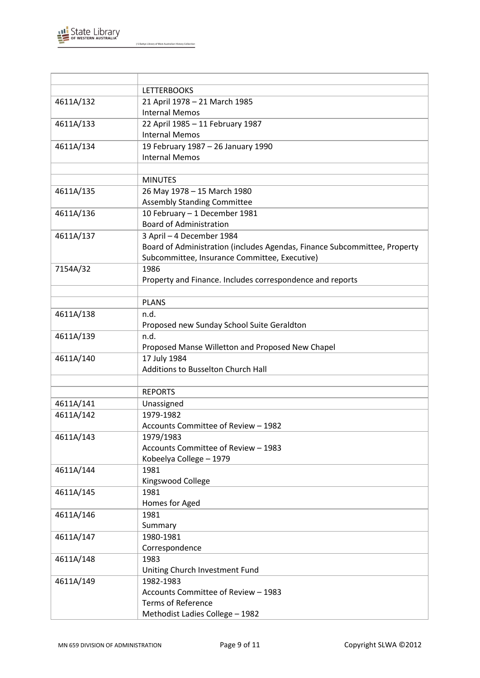

|           | <b>LETTERBOOKS</b>                                                        |
|-----------|---------------------------------------------------------------------------|
| 4611A/132 | 21 April 1978 - 21 March 1985                                             |
|           | <b>Internal Memos</b>                                                     |
| 4611A/133 | 22 April 1985 - 11 February 1987                                          |
|           | <b>Internal Memos</b>                                                     |
| 4611A/134 | 19 February 1987 - 26 January 1990                                        |
|           | <b>Internal Memos</b>                                                     |
|           |                                                                           |
|           | <b>MINUTES</b>                                                            |
| 4611A/135 | 26 May 1978 - 15 March 1980                                               |
|           | <b>Assembly Standing Committee</b>                                        |
| 4611A/136 | 10 February - 1 December 1981                                             |
|           | <b>Board of Administration</b>                                            |
| 4611A/137 | 3 April - 4 December 1984                                                 |
|           | Board of Administration (includes Agendas, Finance Subcommittee, Property |
|           | Subcommittee, Insurance Committee, Executive)                             |
| 7154A/32  | 1986                                                                      |
|           | Property and Finance. Includes correspondence and reports                 |
|           |                                                                           |
|           | <b>PLANS</b>                                                              |
| 4611A/138 | n.d.                                                                      |
|           | Proposed new Sunday School Suite Geraldton                                |
| 4611A/139 | n.d.                                                                      |
|           | Proposed Manse Willetton and Proposed New Chapel                          |
| 4611A/140 | 17 July 1984                                                              |
|           | Additions to Busselton Church Hall                                        |
|           |                                                                           |
|           | <b>REPORTS</b>                                                            |
| 4611A/141 | Unassigned                                                                |
| 4611A/142 | 1979-1982                                                                 |
|           | Accounts Committee of Review - 1982                                       |
| 4611A/143 | 1979/1983                                                                 |
|           | Accounts Committee of Review - 1983                                       |
|           | Kobeelya College - 1979                                                   |
| 4611A/144 | 1981                                                                      |
|           | Kingswood College                                                         |
| 4611A/145 | 1981                                                                      |
|           | Homes for Aged                                                            |
| 4611A/146 | 1981                                                                      |
|           | Summary                                                                   |
| 4611A/147 | 1980-1981                                                                 |
|           | Correspondence                                                            |
| 4611A/148 | 1983                                                                      |
|           | Uniting Church Investment Fund                                            |
| 4611A/149 | 1982-1983                                                                 |
|           | Accounts Committee of Review - 1983                                       |
|           | <b>Terms of Reference</b>                                                 |
|           | Methodist Ladies College - 1982                                           |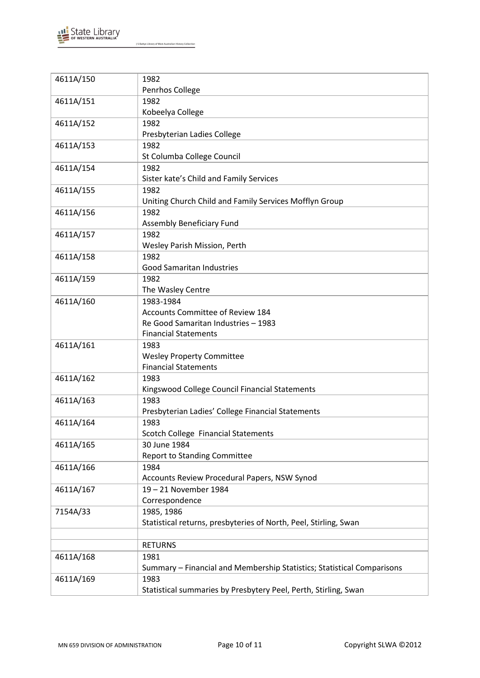

| 4611A/150 | 1982                                                                   |
|-----------|------------------------------------------------------------------------|
|           | Penrhos College                                                        |
| 4611A/151 | 1982                                                                   |
|           | Kobeelya College                                                       |
| 4611A/152 | 1982                                                                   |
|           | Presbyterian Ladies College                                            |
| 4611A/153 | 1982                                                                   |
|           |                                                                        |
|           | St Columba College Council                                             |
| 4611A/154 | 1982                                                                   |
|           | Sister kate's Child and Family Services                                |
| 4611A/155 | 1982                                                                   |
|           | Uniting Church Child and Family Services Mofflyn Group                 |
| 4611A/156 | 1982                                                                   |
|           | Assembly Beneficiary Fund                                              |
| 4611A/157 | 1982                                                                   |
|           | Wesley Parish Mission, Perth                                           |
| 4611A/158 | 1982                                                                   |
|           | <b>Good Samaritan Industries</b>                                       |
| 4611A/159 | 1982                                                                   |
|           | The Wasley Centre                                                      |
|           |                                                                        |
| 4611A/160 | 1983-1984                                                              |
|           | <b>Accounts Committee of Review 184</b>                                |
|           | Re Good Samaritan Industries - 1983                                    |
|           | <b>Financial Statements</b>                                            |
| 4611A/161 | 1983                                                                   |
|           | <b>Wesley Property Committee</b>                                       |
|           | <b>Financial Statements</b>                                            |
| 4611A/162 | 1983                                                                   |
|           | Kingswood College Council Financial Statements                         |
| 4611A/163 | 1983                                                                   |
|           | Presbyterian Ladies' College Financial Statements                      |
| 4611A/164 | 1983                                                                   |
|           | Scotch College Financial Statements                                    |
|           |                                                                        |
| 4611A/165 | 30 June 1984                                                           |
|           | <b>Report to Standing Committee</b>                                    |
| 4611A/166 | 1984                                                                   |
|           | Accounts Review Procedural Papers, NSW Synod                           |
| 4611A/167 | 19-21 November 1984                                                    |
|           | Correspondence                                                         |
| 7154A/33  | 1985, 1986                                                             |
|           | Statistical returns, presbyteries of North, Peel, Stirling, Swan       |
|           |                                                                        |
|           | <b>RETURNS</b>                                                         |
| 4611A/168 | 1981                                                                   |
|           | Summary - Financial and Membership Statistics; Statistical Comparisons |
|           |                                                                        |
| 4611A/169 | 1983                                                                   |
|           | Statistical summaries by Presbytery Peel, Perth, Stirling, Swan        |